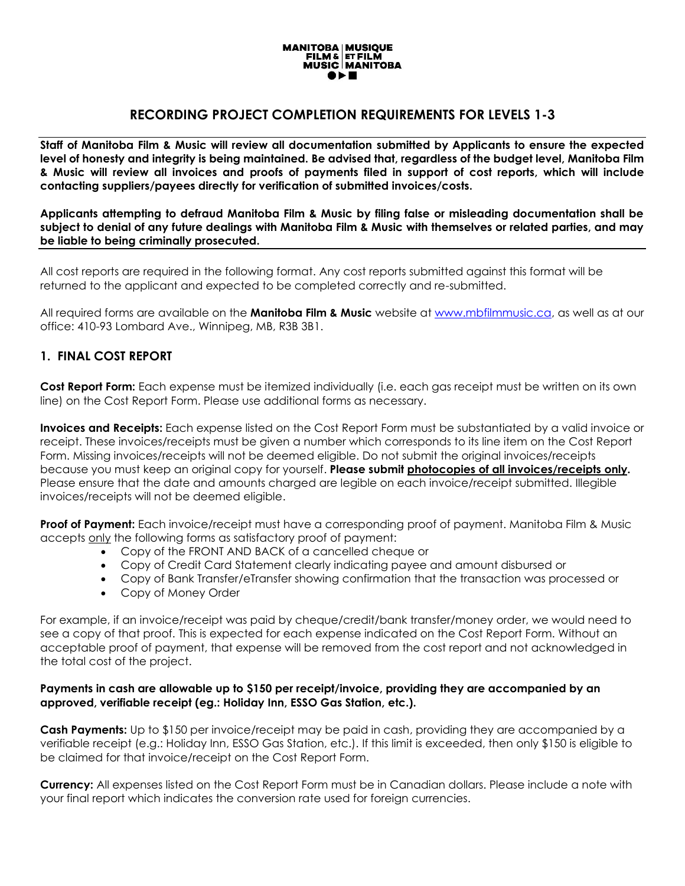

# **RECORDING PROJECT COMPLETION REQUIREMENTS FOR LEVELS 1-3**

**Staff of Manitoba Film & Music will review all documentation submitted by Applicants to ensure the expected level of honesty and integrity is being maintained. Be advised that, regardless of the budget level, Manitoba Film & Music will review all invoices and proofs of payments filed in support of cost reports, which will include contacting suppliers/payees directly for verification of submitted invoices/costs.** 

**Applicants attempting to defraud Manitoba Film & Music by filing false or misleading documentation shall be subject to denial of any future dealings with Manitoba Film & Music with themselves or related parties, and may be liable to being criminally prosecuted.**

All cost reports are required in the following format. Any cost reports submitted against this format will be returned to the applicant and expected to be completed correctly and re-submitted.

All required forms are available on the **Manitoba Film & Music** website at [www.mbfilmmusic.ca,](http://www.mbfilmmusic.ca/) as well as at our office: 410-93 Lombard Ave., Winnipeg, MB, R3B 3B1.

#### **1. FINAL COST REPORT**

**Cost Report Form:** Each expense must be itemized individually (i.e. each gas receipt must be written on its own line) on the Cost Report Form. Please use additional forms as necessary.

**Invoices and Receipts:** Each expense listed on the Cost Report Form must be substantiated by a valid invoice or receipt. These invoices/receipts must be given a number which corresponds to its line item on the Cost Report Form. Missing invoices/receipts will not be deemed eligible. Do not submit the original invoices/receipts because you must keep an original copy for yourself. **Please submit photocopies of all invoices/receipts only.** Please ensure that the date and amounts charged are legible on each invoice/receipt submitted. Illegible invoices/receipts will not be deemed eligible.

**Proof of Payment:** Each invoice/receipt must have a corresponding proof of payment. Manitoba Film & Music accepts only the following forms as satisfactory proof of payment:

- Copy of the FRONT AND BACK of a cancelled cheque or
- Copy of Credit Card Statement clearly indicating payee and amount disbursed or
- Copy of Bank Transfer/eTransfer showing confirmation that the transaction was processed or
- Copy of Money Order

For example, if an invoice/receipt was paid by cheque/credit/bank transfer/money order, we would need to see a copy of that proof. This is expected for each expense indicated on the Cost Report Form. Without an acceptable proof of payment, that expense will be removed from the cost report and not acknowledged in the total cost of the project.

#### **Payments in cash are allowable up to \$150 per receipt/invoice, providing they are accompanied by an approved, verifiable receipt (eg.: Holiday Inn, ESSO Gas Station, etc.).**

**Cash Payments:** Up to \$150 per invoice/receipt may be paid in cash, providing they are accompanied by a verifiable receipt (e.g.: Holiday Inn, ESSO Gas Station, etc.). If this limit is exceeded, then only \$150 is eligible to be claimed for that invoice/receipt on the Cost Report Form.

**Currency:** All expenses listed on the Cost Report Form must be in Canadian dollars. Please include a note with your final report which indicates the conversion rate used for foreign currencies.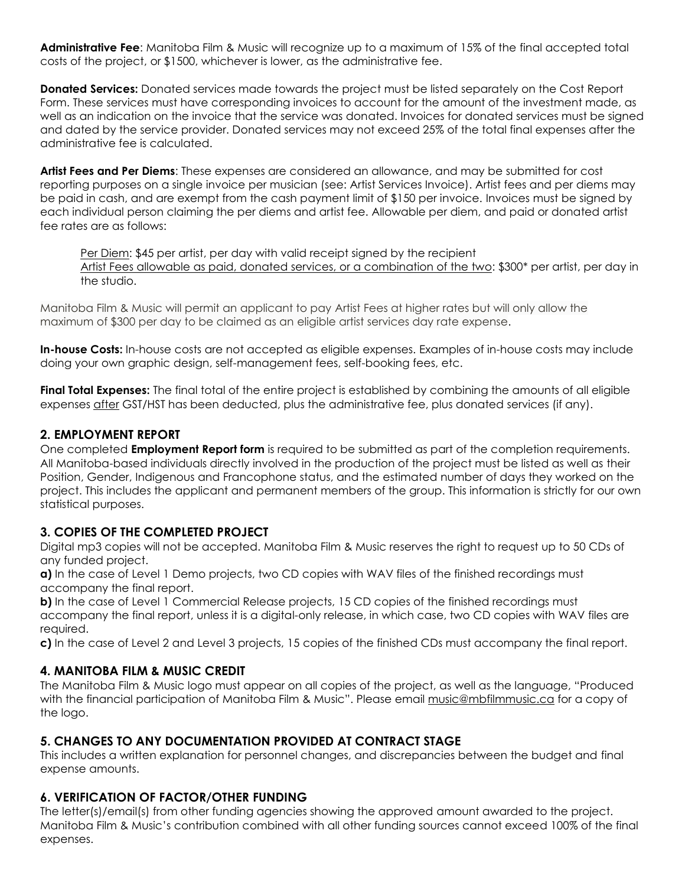**Administrative Fee**: Manitoba Film & Music will recognize up to a maximum of 15% of the final accepted total costs of the project, or \$1500, whichever is lower, as the administrative fee.

**Donated Services:** Donated services made towards the project must be listed separately on the Cost Report Form. These services must have corresponding invoices to account for the amount of the investment made, as well as an indication on the invoice that the service was donated. Invoices for donated services must be signed and dated by the service provider. Donated services may not exceed 25% of the total final expenses after the administrative fee is calculated.

**Artist Fees and Per Diems**: These expenses are considered an allowance, and may be submitted for cost reporting purposes on a single invoice per musician (see: Artist Services Invoice). Artist fees and per diems may be paid in cash, and are exempt from the cash payment limit of \$150 per invoice. Invoices must be signed by each individual person claiming the per diems and artist fee. Allowable per diem, and paid or donated artist fee rates are as follows:

Per Diem: \$45 per artist, per day with valid receipt signed by the recipient Artist Fees allowable as paid, donated services, or a combination of the two: \$300\* per artist, per day in the studio.

Manitoba Film & Music will permit an applicant to pay Artist Fees at higher rates but will only allow the maximum of \$300 per day to be claimed as an eligible artist services day rate expense.

**In-house Costs:** In-house costs are not accepted as eligible expenses. Examples of in-house costs may include doing your own graphic design, self-management fees, self-booking fees, etc.

**Final Total Expenses:** The final total of the entire project is established by combining the amounts of all eligible expenses after GST/HST has been deducted, plus the administrative fee, plus donated services (if any).

# **2. EMPLOYMENT REPORT**

One completed **Employment Report form** is required to be submitted as part of the completion requirements. All Manitoba-based individuals directly involved in the production of the project must be listed as well as their Position, Gender, Indigenous and Francophone status, and the estimated number of days they worked on the project. This includes the applicant and permanent members of the group. This information is strictly for our own statistical purposes.

# **3. COPIES OF THE COMPLETED PROJECT**

Digital mp3 copies will not be accepted. Manitoba Film & Music reserves the right to request up to 50 CDs of any funded project.

**a)** In the case of Level 1 Demo projects, two CD copies with WAV files of the finished recordings must accompany the final report.

**b)** In the case of Level 1 Commercial Release projects, 15 CD copies of the finished recordings must accompany the final report, unless it is a digital-only release, in which case, two CD copies with WAV files are required.

**c)** In the case of Level 2 and Level 3 projects, 15 copies of the finished CDs must accompany the final report.

# **4. MANITOBA FILM & MUSIC CREDIT**

The Manitoba Film & Music logo must appear on all copies of the project, as well as the language, "Produced with the financial participation of Manitoba Film & Music". Please email music@mbfilmmusic.ca for a copy of the logo.

# **5. CHANGES TO ANY DOCUMENTATION PROVIDED AT CONTRACT STAGE**

This includes a written explanation for personnel changes, and discrepancies between the budget and final expense amounts.

# **6. VERIFICATION OF FACTOR/OTHER FUNDING**

The letter(s)/email(s) from other funding agencies showing the approved amount awarded to the project. Manitoba Film & Music's contribution combined with all other funding sources cannot exceed 100% of the final expenses.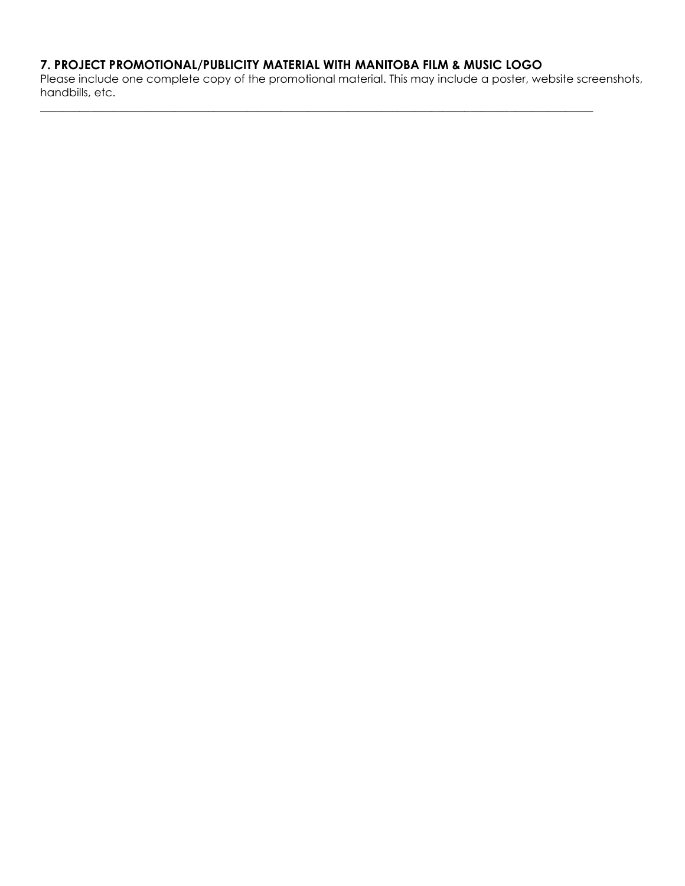# **7. PROJECT PROMOTIONAL/PUBLICITY MATERIAL WITH MANITOBA FILM & MUSIC LOGO**

Please include one complete copy of the promotional material. This may include a poster, website screenshots, handbills, etc.

\_\_\_\_\_\_\_\_\_\_\_\_\_\_\_\_\_\_\_\_\_\_\_\_\_\_\_\_\_\_\_\_\_\_\_\_\_\_\_\_\_\_\_\_\_\_\_\_\_\_\_\_\_\_\_\_\_\_\_\_\_\_\_\_\_\_\_\_\_\_\_\_\_\_\_\_\_\_\_\_\_\_\_\_\_\_\_\_\_\_\_\_\_\_\_\_\_\_\_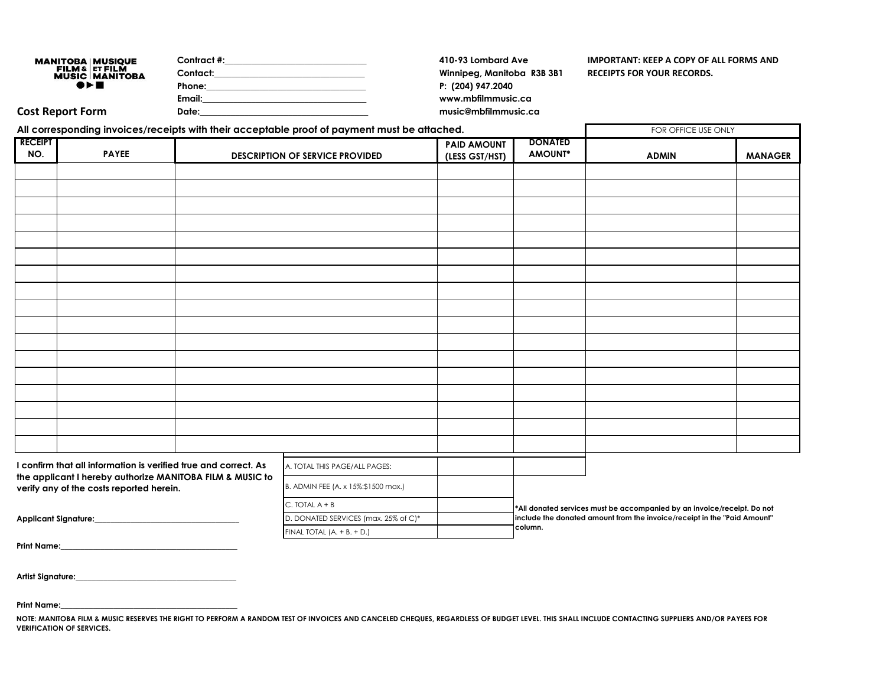| <b>MANITOBA   MUSIQUE</b>               | Contract #: | 410-93 Lombard Ave         | IMPORTANT: KEEP A COPY OF ALL FORMS AND |
|-----------------------------------------|-------------|----------------------------|-----------------------------------------|
| FILM & ET FILM<br><b>MUSIC MANITOBA</b> | Contact:    | Winnipeg, Manitoba R3B 3B1 | <b>RECEIPTS FOR YOUR RECORDS.</b>       |
| $\bullet\,\vdash\,\blacksquare$         | Phone:      | P: (204) 947.2040          |                                         |
|                                         | Email:      | www.mbfilmmusic.ca         |                                         |
| Cost Report Form                        | Date:       | music@mbfilmmusic.ca       |                                         |

| All corresponding invoices/receipts with their acceptable proof of payment must be attached.                                                                             |              |                                                                                                                  |                                        | FOR OFFICE USE ONLY                  |                           |                                                                         |                |
|--------------------------------------------------------------------------------------------------------------------------------------------------------------------------|--------------|------------------------------------------------------------------------------------------------------------------|----------------------------------------|--------------------------------------|---------------------------|-------------------------------------------------------------------------|----------------|
| <b>RECEIPT</b><br>NO.                                                                                                                                                    | <b>PAYEE</b> |                                                                                                                  | <b>DESCRIPTION OF SERVICE PROVIDED</b> | <b>PAID AMOUNT</b><br>(LESS GST/HST) | <b>DONATED</b><br>AMOUNT* | <b>ADMIN</b>                                                            | <b>MANAGER</b> |
|                                                                                                                                                                          |              |                                                                                                                  |                                        |                                      |                           |                                                                         |                |
|                                                                                                                                                                          |              |                                                                                                                  |                                        |                                      |                           |                                                                         |                |
|                                                                                                                                                                          |              |                                                                                                                  |                                        |                                      |                           |                                                                         |                |
|                                                                                                                                                                          |              |                                                                                                                  |                                        |                                      |                           |                                                                         |                |
|                                                                                                                                                                          |              |                                                                                                                  |                                        |                                      |                           |                                                                         |                |
|                                                                                                                                                                          |              |                                                                                                                  |                                        |                                      |                           |                                                                         |                |
|                                                                                                                                                                          |              |                                                                                                                  |                                        |                                      |                           |                                                                         |                |
|                                                                                                                                                                          |              |                                                                                                                  |                                        |                                      |                           |                                                                         |                |
|                                                                                                                                                                          |              |                                                                                                                  |                                        |                                      |                           |                                                                         |                |
|                                                                                                                                                                          |              |                                                                                                                  |                                        |                                      |                           |                                                                         |                |
|                                                                                                                                                                          |              |                                                                                                                  |                                        |                                      |                           |                                                                         |                |
|                                                                                                                                                                          |              |                                                                                                                  |                                        |                                      |                           |                                                                         |                |
|                                                                                                                                                                          |              |                                                                                                                  |                                        |                                      |                           |                                                                         |                |
|                                                                                                                                                                          |              |                                                                                                                  |                                        |                                      |                           |                                                                         |                |
|                                                                                                                                                                          |              |                                                                                                                  |                                        |                                      |                           |                                                                         |                |
|                                                                                                                                                                          |              |                                                                                                                  |                                        |                                      |                           |                                                                         |                |
|                                                                                                                                                                          |              |                                                                                                                  |                                        |                                      |                           |                                                                         |                |
|                                                                                                                                                                          |              |                                                                                                                  |                                        |                                      |                           |                                                                         |                |
| I confirm that all information is verified true and correct. As<br>the applicant I hereby authorize MANITOBA FILM & MUSIC to<br>verify any of the costs reported herein. |              | A. TOTAL THIS PAGE/ALL PAGES:                                                                                    |                                        |                                      |                           |                                                                         |                |
|                                                                                                                                                                          |              | B. ADMIN FEE (A. x 15%:\$1500 max.)                                                                              |                                        |                                      |                           |                                                                         |                |
|                                                                                                                                                                          |              |                                                                                                                  | $C.$ TOTAL $A + B$                     |                                      |                           | *All donated services must be accompanied by an invoice/receipt. Do not |                |
| <b>Applicant Signature:</b>                                                                                                                                              |              | include the donated amount from the invoice/receipt in the "Paid Amount"<br>D. DONATED SERVICES (max. 25% of C)* |                                        |                                      |                           |                                                                         |                |
|                                                                                                                                                                          |              |                                                                                                                  | FINAL TOTAL $(A. + B. + D.)$           |                                      | column.                   |                                                                         |                |

**Print Name:\_\_\_\_\_\_\_\_\_\_\_\_\_\_\_\_\_\_\_\_\_\_\_\_\_\_\_\_\_\_\_\_\_\_\_\_\_\_\_\_\_\_\_\_**

| Artist Signature: |  |
|-------------------|--|
|                   |  |

**Print Name:\_\_\_\_\_\_\_\_\_\_\_\_\_\_\_\_\_\_\_\_\_\_\_\_\_\_\_\_\_\_\_\_\_\_\_\_\_\_\_\_\_\_\_\_**

NOTE: MANITOBA FILM & MUSIC RESERVES THE RIGHT TO PERFORM A RANDOM TEST OF INVOICES AND CANCELED CHEQUES, REGARDLESS OF BUDGET LEVEL. THIS SHALL INCLUDE CONTACTING SUPPLIERS AND/OR PAYEES FOR **VERIFICATION OF SERVICES.**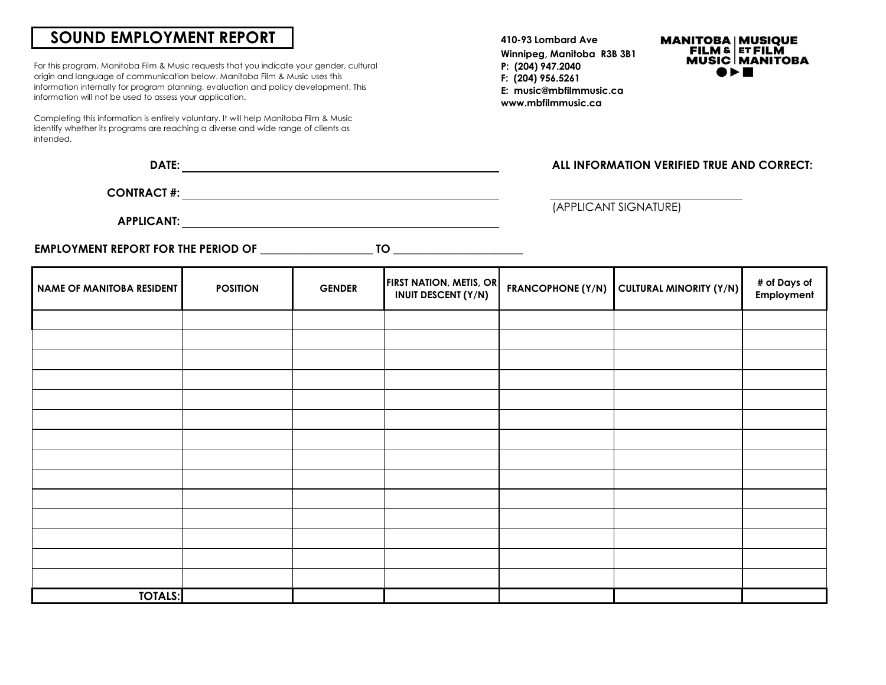# **SOUND EMPLOYMENT REPORT**

For this program, Manitoba Film & Music requests that you indicate your gender, cultural origin and language of communication below. Manitoba Film & Music uses this information internally for program planning, evaluation and policy development. This information will not be used to assess your application.

Completing this information is entirely voluntary. It will help Manitoba Film & Music identify whether its programs are reaching a diverse and wide range of clients as intended.

|--|

**CONTRACT #:**

**APPLICANT:**

**EMPLOYMENT REPORT FOR THE PERIOD OF** \_\_\_\_\_\_\_\_\_\_\_\_\_\_\_\_\_\_\_\_ **TO** \_\_\_\_\_\_\_\_\_\_\_\_\_\_\_\_\_\_\_\_\_\_\_

**410-93 Lombard Ave Winnipeg, Manitoba R3B 3B1 P: (204) 947.2040 F: (204) 956.5261 E: music@mbfilmmusic.ca www.mbfilmmusic.ca**



#### **DATE: ALL INFORMATION VERIFIED TRUE AND CORRECT:**

(APPLICANT SIGNATURE)

| <b>NAME OF MANITOBA RESIDENT</b> | <b>POSITION</b> | <b>GENDER</b> | <b>FIRST NATION, METIS, OR</b><br><b>INUIT DESCENT (Y/N)</b> | FRANCOPHONE (Y/N) CULTURAL MINORITY (Y/N) | # of Days of<br>Employment |
|----------------------------------|-----------------|---------------|--------------------------------------------------------------|-------------------------------------------|----------------------------|
|                                  |                 |               |                                                              |                                           |                            |
|                                  |                 |               |                                                              |                                           |                            |
|                                  |                 |               |                                                              |                                           |                            |
|                                  |                 |               |                                                              |                                           |                            |
|                                  |                 |               |                                                              |                                           |                            |
|                                  |                 |               |                                                              |                                           |                            |
|                                  |                 |               |                                                              |                                           |                            |
|                                  |                 |               |                                                              |                                           |                            |
|                                  |                 |               |                                                              |                                           |                            |
|                                  |                 |               |                                                              |                                           |                            |
|                                  |                 |               |                                                              |                                           |                            |
|                                  |                 |               |                                                              |                                           |                            |
|                                  |                 |               |                                                              |                                           |                            |
|                                  |                 |               |                                                              |                                           |                            |
| <b>TOTALS:</b>                   |                 |               |                                                              |                                           |                            |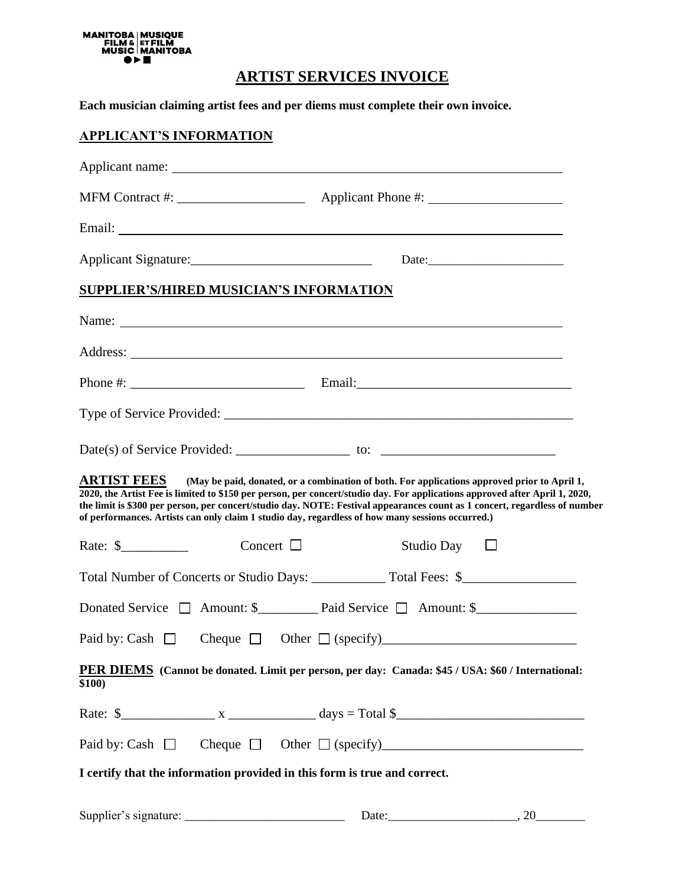

# **ARTIST SERVICES INVOICE**

**Each musician claiming artist fees and per diems must complete their own invoice.**

# **APPLICANT'S INFORMATION**

| Applicant Signature:                    |                |                                                                                                                                                                                                                                                                                                                                                                                                                                                               |  |  |
|-----------------------------------------|----------------|---------------------------------------------------------------------------------------------------------------------------------------------------------------------------------------------------------------------------------------------------------------------------------------------------------------------------------------------------------------------------------------------------------------------------------------------------------------|--|--|
| SUPPLIER'S/HIRED MUSICIAN'S INFORMATION |                |                                                                                                                                                                                                                                                                                                                                                                                                                                                               |  |  |
|                                         |                | Name: Name:                                                                                                                                                                                                                                                                                                                                                                                                                                                   |  |  |
|                                         |                |                                                                                                                                                                                                                                                                                                                                                                                                                                                               |  |  |
|                                         |                |                                                                                                                                                                                                                                                                                                                                                                                                                                                               |  |  |
|                                         |                |                                                                                                                                                                                                                                                                                                                                                                                                                                                               |  |  |
|                                         |                |                                                                                                                                                                                                                                                                                                                                                                                                                                                               |  |  |
| <b>ARTIST FEES</b>                      |                | (May be paid, donated, or a combination of both. For applications approved prior to April 1,<br>2020, the Artist Fee is limited to \$150 per person, per concert/studio day. For applications approved after April 1, 2020,<br>the limit is \$300 per person, per concert/studio day. NOTE: Festival appearances count as 1 concert, regardless of number<br>of performances. Artists can only claim 1 studio day, regardless of how many sessions occurred.) |  |  |
| Rate: $\frac{1}{2}$                     | Concert $\Box$ | Studio Day $\Box$                                                                                                                                                                                                                                                                                                                                                                                                                                             |  |  |
|                                         |                |                                                                                                                                                                                                                                                                                                                                                                                                                                                               |  |  |
|                                         |                |                                                                                                                                                                                                                                                                                                                                                                                                                                                               |  |  |
| Paid by: Cash $\Box$                    |                | Cheque $\Box$ Other $\Box$ (specify)                                                                                                                                                                                                                                                                                                                                                                                                                          |  |  |
| \$100)                                  |                | PER DIEMS (Cannot be donated. Limit per person, per day: Canada: \$45 / USA: \$60 / International:                                                                                                                                                                                                                                                                                                                                                            |  |  |
|                                         |                |                                                                                                                                                                                                                                                                                                                                                                                                                                                               |  |  |
|                                         |                |                                                                                                                                                                                                                                                                                                                                                                                                                                                               |  |  |
|                                         |                | I certify that the information provided in this form is true and correct.                                                                                                                                                                                                                                                                                                                                                                                     |  |  |
|                                         |                |                                                                                                                                                                                                                                                                                                                                                                                                                                                               |  |  |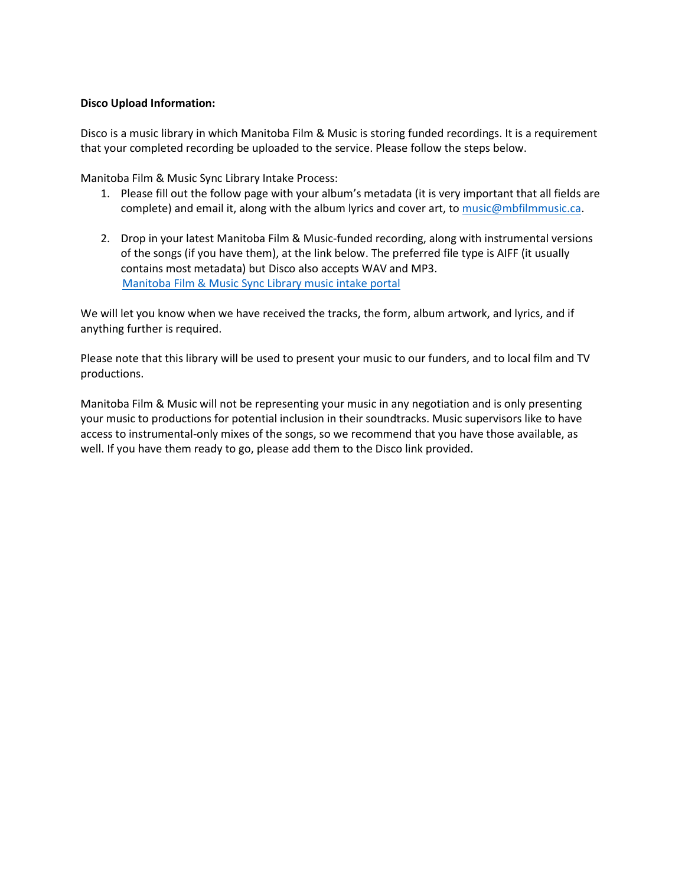#### **Disco Upload Information:**

Disco is a music library in which Manitoba Film & Music is storing funded recordings. It is a requirement that your completed recording be uploaded to the service. Please follow the steps below.

Manitoba Film & Music Sync Library Intake Process:

- 1. Please fill out the follow page with your album's metadata (it is very important that all fields are complete) and email it, along with the album lyrics and cover art, to [music@mbfilmmusic.ca.](mailto:music@mbfilmmusic.ca)
- 2. Drop in your latest Manitoba Film & Music-funded recording, along with instrumental versions of the songs (if you have them), at the link below. The preferred file type is AIFF (it usually contains most metadata) but Disco also accepts WAV and MP3. [Manitoba Film & Music Sync Library music intake portal](https://s.disco.ac/iviofbeatkfb)

We will let you know when we have received the tracks, the form, album artwork, and lyrics, and if anything further is required.

Please note that this library will be used to present your music to our funders, and to local film and TV productions.

Manitoba Film & Music will not be representing your music in any negotiation and is only presenting your music to productions for potential inclusion in their soundtracks. Music supervisors like to have access to instrumental-only mixes of the songs, so we recommend that you have those available, as well. If you have them ready to go, please add them to the Disco link provided.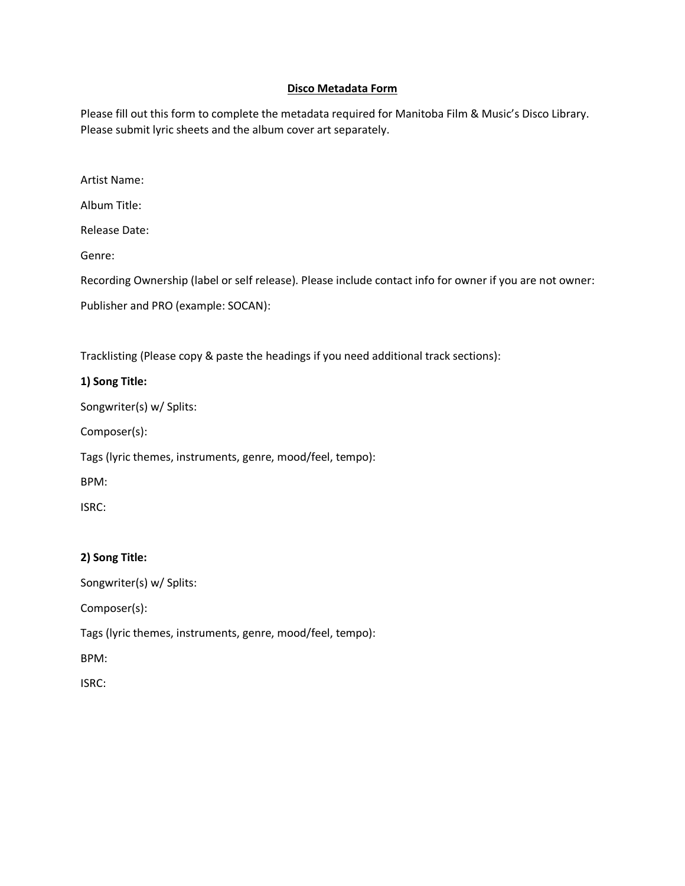#### **Disco Metadata Form**

Please fill out this form to complete the metadata required for Manitoba Film & Music's Disco Library. Please submit lyric sheets and the album cover art separately.

Artist Name:

Album Title:

Release Date:

Genre:

Recording Ownership (label or self release). Please include contact info for owner if you are not owner:

Publisher and PRO (example: SOCAN):

Tracklisting (Please copy & paste the headings if you need additional track sections):

#### **1) Song Title:**

Songwriter(s) w/ Splits:

Composer(s):

Tags (lyric themes, instruments, genre, mood/feel, tempo):

BPM:

ISRC:

#### **2) Song Title:**

Songwriter(s) w/ Splits:

Composer(s):

Tags (lyric themes, instruments, genre, mood/feel, tempo):

BPM: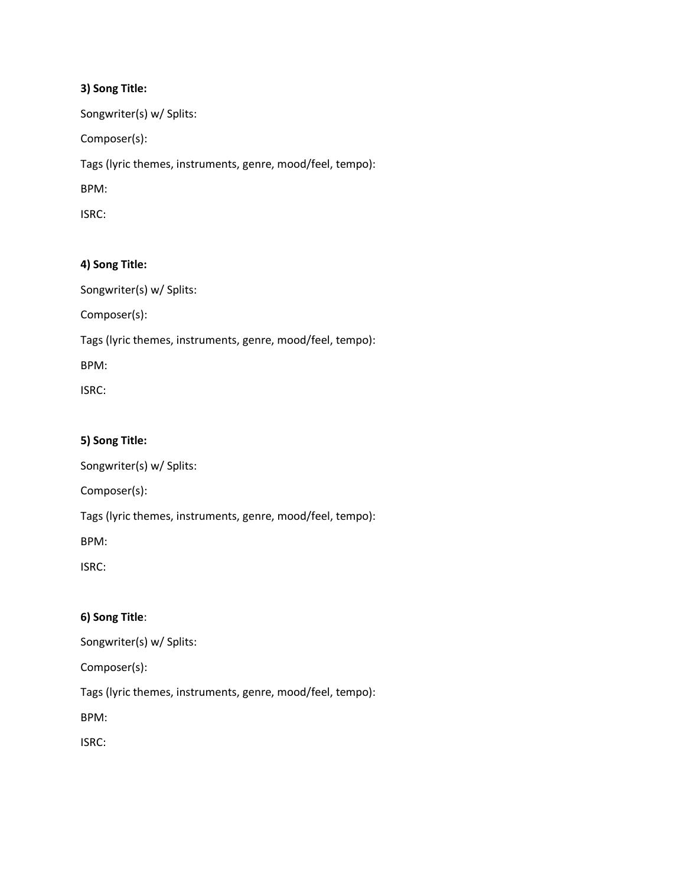Songwriter(s) w/ Splits:

Composer(s):

Tags (lyric themes, instruments, genre, mood/feel, tempo):

BPM:

ISRC:

#### **4) Song Title:**

Songwriter(s) w/ Splits:

Composer(s):

Tags (lyric themes, instruments, genre, mood/feel, tempo):

BPM:

ISRC:

#### **5) Song Title:**

Songwriter(s) w/ Splits:

Composer(s):

Tags (lyric themes, instruments, genre, mood/feel, tempo):

BPM:

ISRC:

#### **6) Song Title**:

Songwriter(s) w/ Splits:

Composer(s):

Tags (lyric themes, instruments, genre, mood/feel, tempo):

BPM: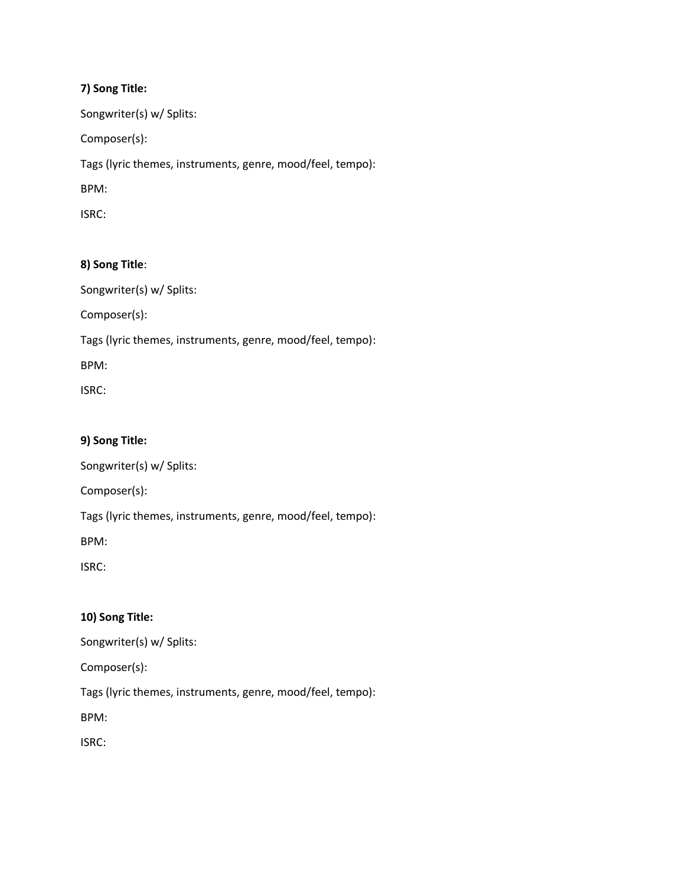Songwriter(s) w/ Splits:

Composer(s):

Tags (lyric themes, instruments, genre, mood/feel, tempo):

BPM:

ISRC:

### **8) Song Title**:

Songwriter(s) w/ Splits:

Composer(s):

Tags (lyric themes, instruments, genre, mood/feel, tempo):

BPM:

ISRC:

#### **9) Song Title:**

Songwriter(s) w/ Splits:

Composer(s):

Tags (lyric themes, instruments, genre, mood/feel, tempo):

BPM:

ISRC:

# **10) Song Title:**

Songwriter(s) w/ Splits:

Composer(s):

Tags (lyric themes, instruments, genre, mood/feel, tempo):

BPM: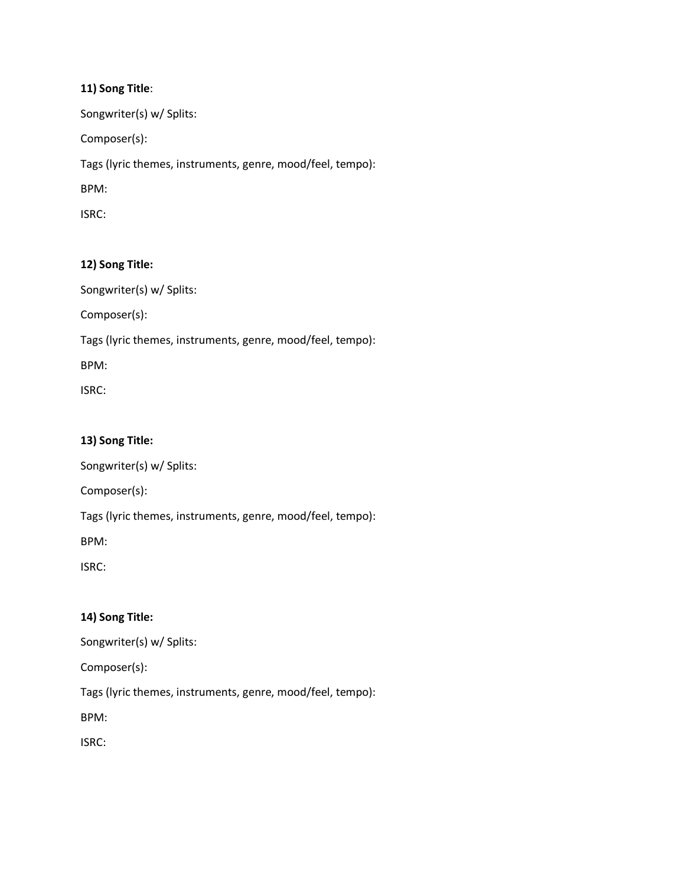Songwriter(s) w/ Splits:

Composer(s):

Tags (lyric themes, instruments, genre, mood/feel, tempo):

BPM:

ISRC:

#### **12) Song Title:**

Songwriter(s) w/ Splits:

Composer(s):

Tags (lyric themes, instruments, genre, mood/feel, tempo):

BPM:

ISRC:

#### **13) Song Title:**

Songwriter(s) w/ Splits:

Composer(s):

Tags (lyric themes, instruments, genre, mood/feel, tempo):

BPM:

ISRC:

#### **14) Song Title:**

Songwriter(s) w/ Splits:

Composer(s):

Tags (lyric themes, instruments, genre, mood/feel, tempo):

BPM: